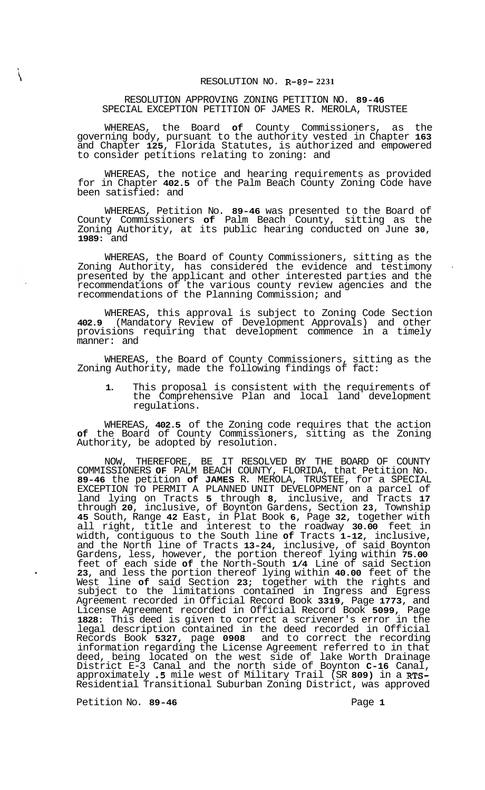## RESOLUTION APPROVING ZONING PETITION NO. **89-46**  SPECIAL EXCEPTION PETITION OF JAMES R. MEROLA, TRUSTEE

WHEREAS, the Board **of** County Commissioners, as the governing body, pursuant to the authority vested in Chapter **163**  and Chapter **125,** Florida Statutes, is authorized and empowered to consider petitions relating to zoning: and

WHEREAS, the notice and hearing requirements as provided for in Chapter **402.5** of the Palm Beach County Zoning Code have been satisfied: and

WHEREAS, Petition No. **89-46** was presented to the Board of County Commissioners **of** Palm Beach County, sitting as the Zoning Authority, at its public hearing conducted on June **30, 1989:** and

WHEREAS, the Board of County Commissioners, sitting as the Zoning Authority, has considered the evidence and testimony presented by the applicant and other interested parties and the recommendations of the various county review agencies and the recommendations of the Planning Commission; and

WHEREAS, this approval is subject to Zoning Code Section **402.9** (Mandatory Review of Development Approvals) and other provisions requiring that development commence in a timely manner: and

WHEREAS, the Board of County Commissioners, sitting as the Zoning Authority, made the following findings of fact:

**1.** This proposal is consistent with the requirements of the Comprehensive Plan and local land development regulations.

WHEREAS, **402.5** of the Zoning code requires that the action **of** the Board of County Commissioners, sitting as the Zoning Authority, be adopted by resolution.

NOW, THEREFORE, BE IT RESOLVED BY THE BOARD OF COUNTY COMMISSIONERS **OF** PALM BEACH COUNTY, FLORIDA, that Petition No. **89-46** the petition **of JAMES** R. MEROLA, TRUSTEE, for a SPECIAL EXCEPTION TO PERMIT A PLANNED UNIT DEVELOPMENT on a parcel of land lying on Tracts **5** through **8,** inclusive, and Tracts **17**  through **20,** inclusive, of Boynton Gardens, Section **23,** Township **45** South, Range **42** East, in Plat Book **6,** Page **32,** together with all right, title and interest to the roadway **30.00** feet in width, contiguous to the South line **of** Tracts **1-12,** inclusive, and the North line of Tracts **13-24,** inclusive, of said Boynton Gardens, less, however, the portion thereof lying within **75.00**  feet of each side **of** the North-South **1/4** Line of said Section **23,** and less the portion thereof lying within **40.00** feet of the West line **of** said Section **23;** together with the rights and subject to the limitations contained in Ingress and Egress Agreement recorded in Official Record Book **3319,** Page **1773,** and License Agreement recorded in Official Record Book **5099,** Page **1828:** This deed is given to correct a scrivener's error in the legal description contained in the deed recorded in Official Records Book **5327,** page **0908** and to correct the recording information regarding the License Agreement referred to in that deed, being located on the west side of lake Worth Drainage District E-3 Canal and the north side of Boynton **C-16** Canal, approximately **.5** mile west of Military Trail (SR **809)** in a **RTS-**Residential Transitional Suburban Zoning District, was approved

Petition No. 89-46 **Page 1 Page 1**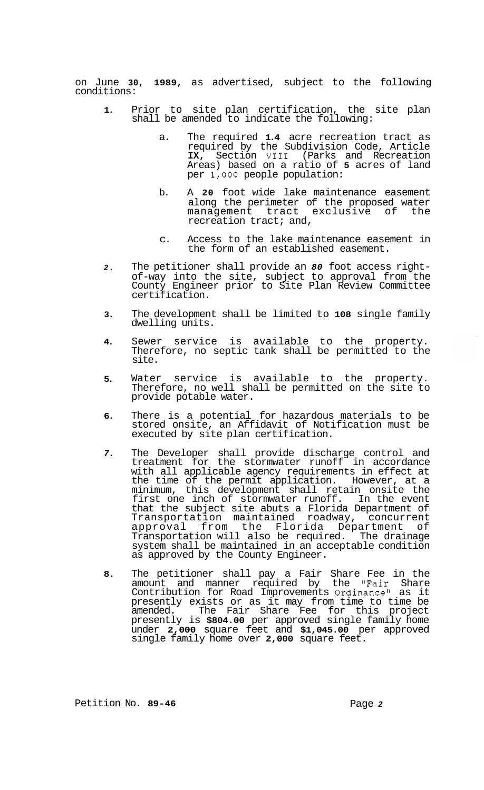on June **30, 1989,** as advertised, subject to the following conditions:

- **1.**  Prior to site plan certification, the site plan shall be amended to indicate the following:
	- a. The required **1.4** acre recreation tract as required by the Subdivision Code, Article **IX,** Section **VI11** (Parks and Recreation Areas) based on a ratio of **5** acres of land per **1,000** people population:
	- b. A **20** foot wide lake maintenance easement along the perimeter of the proposed water management tract exclusive of the recreation tract; and,
	- c. Access to the lake maintenance easement in the form of an established easement.
- *2.*  The petitioner shall provide an *80* foot access right- of-way into the site, subject to approval from the County Engineer prior to Site Plan Review Committee certification.
- **3.**  The development shall be limited to **108** single family dwelling units.
- **4.**  Sewer service is available to the property. Therefore, no septic tank shall be permitted to the site.
- **5.**  Water service is available to the property. Therefore, no well shall be permitted on the site to provide potable water.
- **6.**  There is a potential for hazardous materials to be stored onsite, an Affidavit of Notification must be executed by site plan certification.
- *7.*  The Developer shall provide discharge control and treatment for the stormwater runoff in accordance with all applicable agency requirements in effect at the time of the permit application. However, at a minimum, this development shall retain onsite the first one inch of stormwater runoff. In the event that the subject site abuts a Florida Department of Transportation maintained roadway, concurrent approval from the Florida Department of Transportation will also be required. The drainage system shall be maintained in an acceptable condition as approved by the County Engineer.
- **8.**  The petitioner shall pay a Fair Share Fee in the amount and manner required by the "Fair Share amount and manner required by the "Fair Share<br>Contribution for Road Improvements Ordinance" as it presently exists or as it may from time to time be amended. The Fair Share Fee for this project presently is **\$804.00** per approved single family home under **2,000** square feet and **\$1,045.00** per approved single family home over **2,000** square feet.

 $\sim$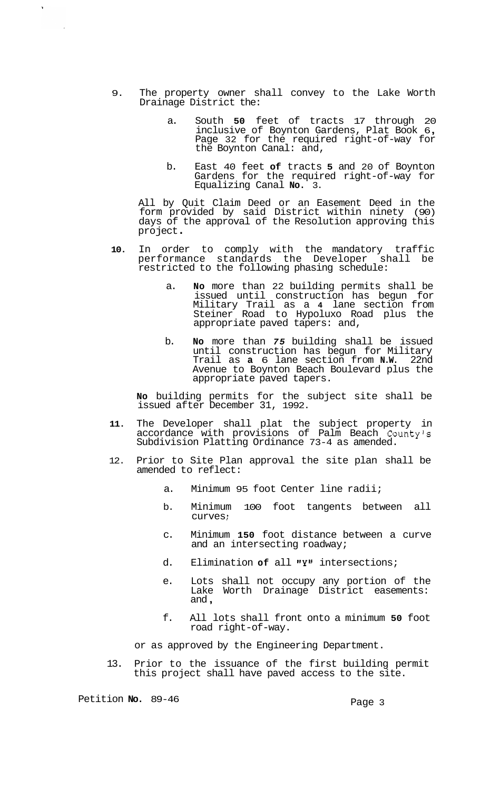- 9. The property owner shall convey to the Lake Worth Drainage District the:
	- a. South **50** feet of tracts 17 through 20 inclusive of Boynton Gardens, Plat Book 6,<br>Page 32 for the required right-of-way for the Boynton Canal: and,
	- b. East 40 feet **of** tracts **5** and 20 of Boynton Gardens for the required right-of-way for Equalizing Canal **No.** 3.

All by Quit Claim Deed or an Easement Deed in the form provided by said District within ninety (90) days of the approval of the Resolution approving this<br>project.

- **10.** In order to comply with the mandatory traffic performance standards the Developer shall be restricted to the following phasing schedule:
	- a. **No** more than 22 building permits shall be issued until construction has begun for Military Trail as a **4** lane section from Steiner Road to Hypoluxo Road plus the appropriate paved tapers: and,
	- b. **No** more than *75* building shall be issued until construction has begun for Military Trail as **a** 6 lane section from **N.W.** 22nd Avenue to Boynton Beach Boulevard plus the appropriate paved tapers.

**No** building permits for the subject site shall be issued after December 31, 1992.

- **11.** The Developer shall plat the subject property in accordance with provisions of Palm Beach County's Subdivision Platting Ordinance 73-4 as amended.
- 12. Prior to Site Plan approval the site plan shall be amended to reflect:
	- a. Minimum 95 foot Center line radii;
	- b. Minimum 100 foot tangents between all curves ;
	- c. Minimum **150** foot distance between a curve and an intersecting roadway;
	- d. Elimination of all "Y" intersections;
	- e. Lots shall not occupy any portion of the Lake Worth Drainage District easements: and ,
	- f. All lots shall front onto a minimum **50** foot road right-of-way.

or as approved by the Engineering Department.

13. Prior to the issuance of the first building permit this project shall have paved access to the site.

Petition **No.** 89-46 Petition **No.** 89-46

 $\mathbf{r}$ 

 $\bar{\mathbf{v}}$